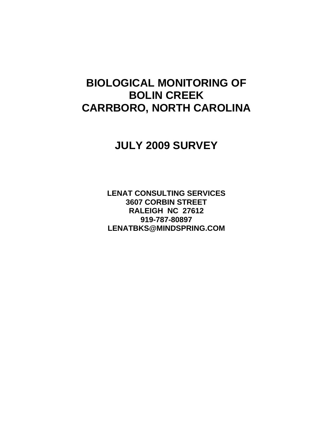# **BIOLOGICAL MONITORING OF BOLIN CREEK CARRBORO, NORTH CAROLINA**

# **JULY 2009 SURVEY**

**LENAT CONSULTING SERVICES 3607 CORBIN STREET RALEIGH NC 27612 919-787-80897 LENATBKS@MINDSPRING.COM**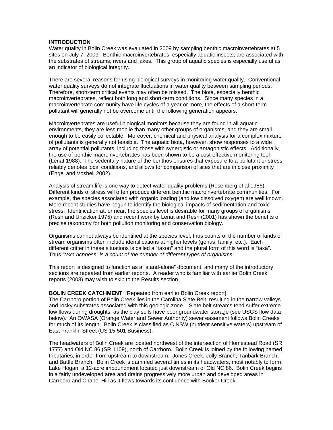# **INTRODUCTION**

Water quality in Bolin Creek was evaluated in 2009 by sampling benthic macroinvertebrates at 5 sites on July 7, 2009 Benthic macroinvertebrates, especially aquatic insects, are associated with the substrates of streams, rivers and lakes. This group of aquatic species is especially useful as an indicator of biological integrity.

There are several reasons for using biological surveys in monitoring water quality. Conventional water quality surveys do not integrate fluctuations in water quality between sampling periods. Therefore, short-term critical events may often be missed. The biota, especially benthic macroinvertebrates, reflect both long and short-term conditions. Since many species in a macroinvertebrate community have life cycles of a year or more, the effects of a short-term pollutant will generally not be overcome until the following generation appears.

Macroinvertebrates are useful biological monitors because they are found in all aquatic environments, they are less mobile than many other groups of organisms, and they are small enough to be easily collectable. Moreover, chemical and physical analysis for a complex mixture of pollutants is generally not feasible. The aquatic biota, however, show responses to a wide array of potential pollutants, including those with synergistic or antagonistic effects. Additionally, the use of benthic macroinvertebrates has been shown to be a cost-effective monitoring tool (Lenat 1988). The sedentary nature of the benthos ensures that exposure to a pollutant or stress reliably denotes local conditions, and allows for comparison of sites that are in close proximity (Engel and Voshell 2002).

Analysis of stream life is one way to detect water quality problems (Rosenberg et al 1986). Different kinds of stress will often produce different benthic macroinvertebrate communities. For example, the species associated with organic loading (and low dissolved oxygen) are well known. More recent studies have begun to identify the biological impacts of sedimentation and toxic stress. Identification at, or near, the species level is desirable for many groups of organisms (Resh and Unzicker 1975) and recent work by Lenat and Resh (2001) has shown the benefits of precise taxonomy for both pollution monitoring and conservation biology.

Organisms cannot always be identified at the species level, thus counts of the number of kinds of stream organisms often include identifications at higher levels (genus, family, etc.). Each different critter in these situations is called a "taxon" and the plural form of this word is "taxa". Thus *"taxa richness" is a count of the number of different types of organisms.*

This report is designed to function as a "stand-alone" document, and many of the introductory sections are repeated from earlier reports. A reader who is familiar with earlier Bolin Creek reports (2008) may wish to skip to the Results section.

## **BOLIN CREEK CATCHMENT** [Repeated from earlier Bolin Creek report]

The Carrboro portion of Bolin Creek lies in the Carolina Slate Belt, resulting in the narrow valleys and rocky substrates associated with this geologic zone. Slate belt streams tend suffer extreme low flows during droughts, as the clay soils have poor groundwater storage (see USGS flow data below). An OWASA (Orange Water and Sewer Authority) sewer easement follows Bolin Creeks for much of its length. Bolin Creek is classified as C NSW (nutrient sensitive waters) upstream of East Franklin Street (US 15-501 Business).

The headwaters of Bolin Creek are located northwest of the intersection of Homestead Road (SR 1777) and Old NC 86 (SR 1109), north of Carrboro. Bolin Creek is joined by the following named tributaries, in order from upstream to downstream: Jones Creek, Jolly Branch, Tanbark Branch, and Battle Branch. Bolin Creek is dammed several times in its headwaters, most notably to form Lake Hogan, a 12-acre impoundment located just downstream of Old NC 86. Bolin Creek begins in a fairly undeveloped area and drains progressively more urban and developed areas in Carrboro and Chapel Hill as it flows towards its confluence with Booker Creek.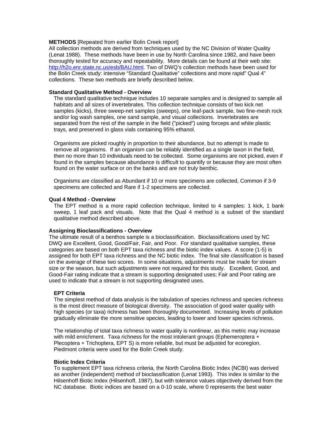## **METHODS** [Repeated from earlier Bolin Creek report]

All collection methods are derived from techniques used by the NC Division of Water Quality (Lenat 1988). These methods have been in use by North Carolina since 1982, and have been thoroughly tested for accuracy and repeatability. More details can be found at their web site: [http://h2o.enr.state.nc.us/esb/BAU.html.](http://h2o.enr.state.nc.us/esb/BAU.html) Two of DWQ's collection methods have been used for the Bolin Creek study: intensive "Standard Qualitative" collections and more rapid" Qual 4" collections. These two methods are briefly described below.

## **Standard Qualitative Method - Overview**

The standard qualitative technique includes 10 separate samples and is designed to sample all habitats and all sizes of invertebrates. This collection technique consists of two kick net samples (kicks), three sweep-net samples (sweeps), one leaf-pack sample, two fine-mesh rock and/or log wash samples, one sand sample, and visual collections. Invertebrates are separated from the rest of the sample in the field ("picked") using forceps and white plastic trays, and preserved in glass vials containing 95% ethanol.

Organisms are picked roughly in proportion to their abundance, but no attempt is made to remove all organisms. If an organism can be reliably identified as a single taxon in the field, then no more than 10 individuals need to be collected. Some organisms are not picked, even if found in the samples because abundance is difficult to quantify or because they are most often found on the water surface or on the banks and are not truly benthic.

Organisms are classified as Abundant if 10 or more specimens are collected, Common if 3-9 specimens are collected and Rare if 1-2 specimens are collected.

## **Qual 4 Method - Overview**

The EPT method is a more rapid collection technique, limited to 4 samples: 1 kick, 1 bank sweep, 1 leaf pack and visuals. Note that the Qual 4 method is a subset of the standard qualitative method described above.

## **Assigning Bioclassifications - Overview**

The ultimate result of a benthos sample is a bioclassification. Bioclassifications used by NC DWQ are Excellent, Good, Good/Fair, Fair, and Poor. For standard qualitative samples, these categories are based on both EPT taxa richness and the biotic index values. A score (1-5) is assigned for both EPT taxa richness and the NC biotic index. The final site classification is based on the average of these two scores. In some situations, adjustments must be made for stream size or the season, but such adjustments were not required for this study. Excellent, Good, and Good-Fair rating indicate that a stream is supporting designated uses; Fair and Poor rating are used to indicate that a stream is not supporting designated uses.

# **EPT Criteria**

The simplest method of data analysis is the tabulation of species richness and species richness is the most direct measure of biological diversity. The association of good water quality with high species (or taxa) richness has been thoroughly documented. Increasing levels of pollution gradually eliminate the more sensitive species, leading to lower and lower species richness.

The relationship of total taxa richness to water quality is nonlinear, as this metric may increase with mild enrichment. Taxa richness for the most intolerant groups (Ephemeroptera + Plecoptera + Trichoptera, EPT S) is more reliable, but must be adjusted for ecoregion. Piedmont criteria were used for the Bolin Creek study.

## **Biotic Index Criteria**

To supplement EPT taxa richness criteria, the North Carolina Biotic Index (NCBI) was derived as another (independent) method of bioclassification (Lenat 1993). This index is similar to the Hilsenhoff Biotic Index (Hilsenhoff, 1987), but with tolerance values objectively derived from the NC database. Biotic indices are based on a 0-10 scale, where 0 represents the best water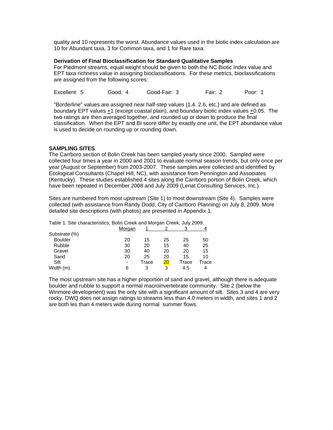quality and 10 represents the worst. Abundance values used in the biotic index calculation are 10 for Abundant taxa, 3 for Common taxa, and 1 for Rare taxa.

# **Derivation of Final Bioclassification for Standard Qualitative Samples**

For Piedmont streams, equal weight should be given to both the NC Biotic Index value and EPT taxa richness value in assigning bioclassifications. For these metrics, bioclassifications are assigned from the following scores:

Excellent: 5 Good: 4 Good-Fair: 3 Fair: 2 Poor: 1

"Borderline" values are assigned near half-step values (1.4. 2.6, etc.) and are defined as boundary EPT values +1 (except coastal plain), and boundary biotic index values +0.05. The two ratings are then averaged together, and rounded up or down to produce the final classification. When the EPT and BI score differ by exactly one unit, the EPT abundance value is used to decide on rounding up or rounding down.

# **SAMPLING SITES**

The Carrboro section of Bolin Creek has been sampled yearly since 2000. Sampled were collected four times a year in 2000 and 2001 to evaluate normal season trends, but only once per year (August or September) from 2003-2007. These samples were collected and identified by Ecological Consultants (Chapel Hill, NC), with assistance from Pennington and Associates (Kentucky). These studies established 4 sites along the Carrboro portion of Bolin Creek, which have been repeated in December 2008 and July 2009 (Lenat Consulting Services, Inc.).

Sites are numbered from most upstream (Site 1) to most downstream (Site 4). Samples were collected (with assistance from Randy Dodd, City of Carrboro Planning) on July 8, 2009. More detailed site descriptions (with photos) are presented in Appendix 1.

| Table 1. Site characteristics, Bolin Creek and Morgan Creek, July 2009. |        |       |    |       |       |
|-------------------------------------------------------------------------|--------|-------|----|-------|-------|
|                                                                         | Morgan |       |    |       |       |
| Substrate (%)                                                           |        |       |    |       |       |
| <b>Boulder</b>                                                          | 20     | 15    | 25 | 25    | 50    |
| Rubble                                                                  | 30     | 20    | 15 | 40    | 25    |
| Gravel                                                                  | 30     | 40    | 20 | 20    | 15    |
| Sand                                                                    | 20     | 25    | 20 | 15    | 10    |
| Silt                                                                    |        | Trace | 20 | Trace | Trace |
| Width (m)                                                               | 6      | 3     | 3  | 4.5   |       |

The most upstream site has a higher proportion of sand and gravel, although there is adequate boulder and rubble to support a normal macroinvertebrate community. Site 2 (below the Winmore development) was the only site with a significant amount of silt. Sites 3 and 4 are very rocky. DWQ does not assign ratings to streams less than 4.0 meters in width, and sites 1 and 2 are both les than 4 meters wide during normal summer flows.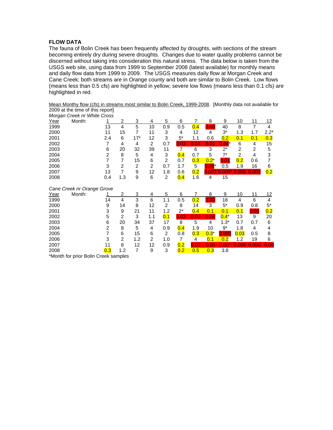# **FLOW DATA**

The fauna of Bolin Creek has been frequently affected by droughts, with sections of the stream becoming entirely dry during severe droughts. Changes due to water quality problems cannot be discerned without taking into consideration this natural stress. The data below is taken from the USGS web site, using data from 1999 to September 2008 (latest available) for monthly means and daily flow data from 1999 to 2009. The USGS measures daily flow at Morgan Creek and Cane Creek; both streams are in Orange county and both are similar to Bolin Creek. Low flows (means less than 0.5 cfs) are highlighted in yellow; severe low flows (means less than 0.1 cfs) are highlighted in red.

Mean Monthy flow (cfs) in streams most similar to Bolin Creek, 1999-2008. [Monthly data not available for 2009 at the time of this report] *Morgan Creek nr White Cross* 

| ັ.ສ                                              |                            |                |                |                |                |                |                |      |         |                     |                |                |            |
|--------------------------------------------------|----------------------------|----------------|----------------|----------------|----------------|----------------|----------------|------|---------|---------------------|----------------|----------------|------------|
| Year                                             | Month:                     |                | $\overline{2}$ | 3              | 4              | 5              | 6              | 7    | 8       | 9                   | 10             | 11             | <u> 12</u> |
| 1999                                             |                            | 13             | 4              | 5              | 10             | 0.9            | 0.5            | 0.4  | 0.09    | 40                  | 8              | $\overline{7}$ | 4          |
| 2000                                             |                            | 11             | 15             | 7              | 11             | 3              | 4              | 12   | 4       | $3^*$               | 1.3            | 1.7            | $2.2*$     |
| 2001                                             |                            | 2.4            | 6              | $17*$          | 12             | 3              | $5^*$          | 1.1  | 0.6     | 0.2                 | 0.1            | 0.1            | 0.3        |
| 2002                                             |                            | 7              | 4              | 4              | 2              | 0.7            | 0.03           | 0.04 | 0.01    | $0.04*$             | 6              | 4              | 15         |
| 2003                                             |                            | 6              | 20             | 32             | 39             | 11             | $\overline{7}$ | 6    | 3       | $2^*$               | $\overline{2}$ | 2              | 5          |
| 2004                                             |                            | $\overline{c}$ | 8              | 5              | 4              | 3              | 0.4            | 0.7  | 5       | $7^*$               | $\overline{2}$ | 4              | 3          |
| 2005                                             |                            | 7              | 7              | 15             | 6              | 2              | 0.7            | 0.3  | $0.2*$  | 0.01                | 0.2            | 0.6            |            |
| 2006                                             |                            | 3              | $\overline{2}$ | $\overline{2}$ | $\overline{2}$ | 0.7            | 1.7            | 5    | $0.08*$ | 0.5                 | 1.9            | 16             | 6          |
| 2007                                             |                            | 13             | 7              | 9              | 12             | 1.8            | 0.6            | 0.2  | 0.002   | $.000*$<br>$\Omega$ | 0.008          | 0.003          | 0.2        |
| 2008                                             |                            | 0.4            | 1.3            | 9              | 6              | 2              | 0.4            | 1.6  | 4       | 15                  |                |                |            |
|                                                  |                            |                |                |                |                |                |                |      |         |                     |                |                |            |
|                                                  | Cane Creek nr Orange Grove |                |                |                |                |                |                |      |         |                     |                |                |            |
| Year                                             | Month:                     |                | 2              | 3              | 4              | 5              | 6              | 7    | 8       | 9                   | 10             | 11             | 12         |
| 1999                                             |                            | 14             | 4              | $\overline{3}$ | 6              | 1.1            | 0.5            | 0.2  | 0.09    | 18                  | 4              | 6              | 4          |
| 2000                                             |                            | 9              | 14             | 8              | 12             | 2              | 8              | 14   | 3       | $5^*$               | 0.9            | 0.8            | $5^\star$  |
| 2001                                             |                            | 3              | 9              | 21             | 11             | 1.2            | $2^*$          | 0.4  | 0.1     | 0.1                 | 0.1            | 0.06           | 0.2        |
| 2002                                             |                            | $\mathbf 5$    | $\overline{2}$ | 3              | 1.1            | 0.1            | 0.03           | 0.04 | 0.04    | $0.4*$              | 13             | 9              | 20         |
| 2003                                             |                            | 6              | 20             | 34             | 37             | 17             | 8              | 5    | 4       | $1.3*$              | 0.7            | 0.7            | 6          |
| 2004                                             |                            | $\overline{c}$ | 8              | 5              | 4              | 0.9            | 0.4            | 1.9  | 10      | 9*                  | 1.8            | 4              | 4          |
| 2005                                             |                            | 7              | 6              | 15             | 6              | $\overline{2}$ | 0.8            | 0.3  | $0.3*$  | 0.000               | 0.03           | 0.5            | 8          |
| 2006                                             |                            | 3              | $\overline{c}$ | 1.2            | $\overline{2}$ | 1.0            | 7              | 4    | 0.1     | 0.2                 | 1.2            | 19             | 6          |
| 2007                                             |                            | 11             | 8              | 12             | 12             | 0.9            | 0.2            | 0.03 | 0.00    | $0.00*$             | 0.005          | 0.000          | 0.08       |
| 2008                                             |                            | 0.3            | 1.2            | 7              | 9              | 3              | 0.2            | 0.5  | 0.3     | 3.8                 |                |                |            |
| $\mathbf{A}$ and $\mathbf{A}$<br>$\cdot$ $\cdot$ |                            |                |                |                |                |                |                |      |         |                     |                |                |            |

\*Month for prior Bolin Creek samples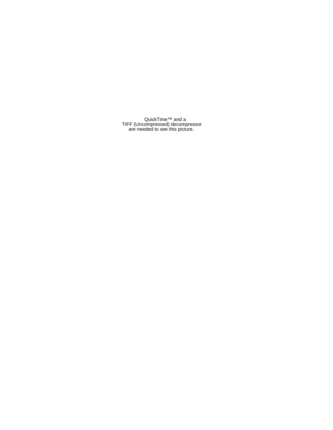QuickTime™ and a TIFF (Uncompressed) decompressor are needed to see this picture.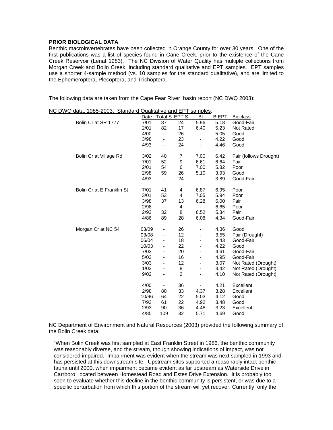# **PRIOR BIOLOGICAL DATA**

Benthic macroinvertebrates have been collected in Orange County for over 30 years. One of the first publications was a list of species found in Cane Creek, prior to the existence of the Cane Creek Reservoir (Lenat 1983). The NC Division of Water Quality has multiple collections from Morgan Creek and Bolin Creek, including standard qualitative and EPT samples. EPT samples use a shorter 4-sample method (vs. 10 samples for the standard qualitative), and are limited to the Ephemeroptera, Plecoptera, and Trichoptera.

The following data are taken from the Cape Fear River basin report (NC DWQ 2003):

|                           | Date  |                              | Total S EPT S  | BI                           | <b>BIEPT</b> | <b>Bioclass</b>        |
|---------------------------|-------|------------------------------|----------------|------------------------------|--------------|------------------------|
| Bolin Cr at SR 1777       | 7/01  | 87                           | 24             | 5.96                         | 5.18         | Good-Fair              |
|                           | 2/01  | 82                           | 17             | 6.40                         | 5.23         | Not Rated              |
|                           | 4/00  | $\qquad \qquad \blacksquare$ | 26             | -                            | 5.05         | Good                   |
|                           | 3/98  | -                            | 23             | -                            | 4.22         | Good                   |
|                           | 4/93  | $\qquad \qquad \blacksquare$ | 24             | $\qquad \qquad \blacksquare$ | 4.46         | Good                   |
|                           |       |                              |                |                              |              |                        |
| Bolin Cr at Village Rd    | 3/02  | 40                           | 7<br>9         | 7.00                         | 6.42         | Fair (follows Drought) |
|                           | 7/01  | 52                           |                | 6.61                         | 6.64         | Fair                   |
|                           | 2/01  | 54                           | 6              | 7.00                         | 5.82         | Poor                   |
|                           | 2/98  | 59                           | 26             | 5.10                         | 3.93         | Good                   |
|                           | 4/93  |                              | 24             |                              | 3.89         | Good-Fair              |
| Bolin Cr at E Franklin St | 7/01  | 41                           | 4              | 6.87                         | 6.95         | Poor                   |
|                           | 3/01  | 53                           | 4              | 7.05                         | 5.94         | Poor                   |
|                           | 3/98  | 37                           | 13             | 6.28                         | 6.00         | Fair                   |
|                           | 2/98  | $\overline{\phantom{a}}$     | 4              | $\blacksquare$               | 6.65         | Poor                   |
|                           | 2/93  | 32                           | 8              | 6.52                         | 5.34         | Fair                   |
|                           | 4/86  | 89                           | 28             | 6.08                         | 4.34         | Good-Fair              |
| Morgan Cr at NC 54        | 03/09 |                              | 26             |                              | 4.36         | Good                   |
|                           | 03/08 |                              | 12             |                              | 3.55         | Fair (Drought)         |
|                           | 06/04 |                              | 18             |                              | 4.43         | Good-Fair              |
|                           | 10/03 |                              | 22             |                              | 4.22         | Good                   |
|                           | 7/03  |                              | 20             |                              | 4.61         | Good-Fair              |
|                           | 5/03  |                              | 16             |                              | 4.95         | Good-Fair              |
|                           | 3/03  |                              | 12             |                              | 3.07         | Not Rated (Drought)    |
|                           | 1/03  |                              | 8              | $\overline{\phantom{a}}$     | 3.42         | Not Rated (Drought)    |
|                           | 9/02  | $\overline{\phantom{a}}$     | $\overline{2}$ | $\overline{\phantom{a}}$     | 4.10         | Not Rated (Drought)    |
|                           |       |                              |                |                              |              |                        |
|                           | 4/00  | ۰                            | 36             |                              | 4.21         | Excellent              |
|                           | 2/98  | 80                           | 33             | 4.37                         | 3.28         | Excellent              |
|                           | 10/96 | 64                           | 22             | 5.03                         | 4.12         | Good                   |
|                           | 7/93  | 61                           | 22             | 4.92                         | 3.48         | Good                   |
|                           | 2/93  | 90                           | 36             | 4.48                         | 3.23         | Excellent              |
|                           | 4/85  | 109                          | 32             | 5.71                         | 4.69         | Good                   |

NC DWQ data, 1985-2003. Standard Qualitative and EPT samples.

NC Department of Environment and Natural Resources (2003) provided the following summary of the Bolin Creek data:

"When Bolin Creek was first sampled at East Franklin Street in 1986, the benthic community was reasonably diverse, and the stream, though showing indications of impact, was not considered impaired. Impairment was evident when the stream was next sampled in 1993 and has persisted at this downstream site. Upstream sites supported a reasonably intact benthic fauna until 2000, when impairment became evident as far upstream as Waterside Drive in Carrboro, located between Homestead Road and Estes Drive Extension. It is probably too soon to evaluate whether this decline in the benthic community is persistent, or was due to a specific perturbation from which this portion of the stream will yet recover. Currently, only the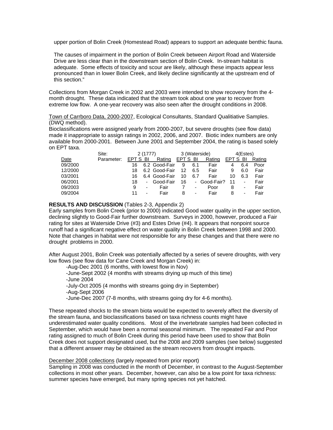upper portion of Bolin Creek (Homestead Road) appears to support an adequate benthic fauna.

The causes of impairment in the portion of Bolin Creek between Airport Road and Waterside Drive are less clear than in the downstream section of Bolin Creek. In-stream habitat is adequate. Some effects of toxicity and scour are likely, although these impacts appear less pronounced than in lower Bolin Creek, and likely decline significantly at the upstream end of this section."

Collections from Morgan Creek in 2002 and 2003 were intended to show recovery from the 4 month drought. These data indicated that the stream took about one year to recover from extreme low flow. A one-year recovery was also seen after the drought conditions in 2008.

Town of Carrboro Data, 2000-2007, Ecological Consultants, Standard Qualitiative Samples. (DWQ method).

Bioclassifications were assigned yearly from 2000-2007, but severe droughts (see flow data) made it inappropriate to assign ratings in 2002, 2006, and 2007. Biotic index numbers are only available from 2000-2001. Between June 2001 and September 2004, the rating is based solely on EPT taxa.

|         | Site:      |          | 2 (1777)                 |                         |    |        | 3 (Waterside)   |    | 4(Estes)                 |                 |
|---------|------------|----------|--------------------------|-------------------------|----|--------|-----------------|----|--------------------------|-----------------|
| Date    | Parameter: | EPT S BI |                          | Rating EPT S BI         |    |        | Rating          |    |                          | EPT S BI Rating |
| 09/2000 |            |          |                          | 16 6.2 Good-Fair 9      |    | 6.1    | Fair            | 4  | 6.4                      | Poor            |
| 12/2000 |            |          |                          | 18 6.2 Good-Fair 12 6.5 |    |        | Fair            | 9  | 6.0                      | Fair            |
| 03/2001 |            |          |                          | 16  6.4 Good-Fair       | 10 | 6.7    | Fair            | 10 | 6.3                      | Fair            |
| 06/2001 |            | 18       |                          | - Good-Fair             |    |        | 16 - Good-Fair? | 11 | $\blacksquare$           | Fair            |
| 09/2003 |            | 9        | $\overline{\phantom{a}}$ | Fair                    | 7  | $\sim$ | Poor            | 8  | $\overline{\phantom{a}}$ | Fair            |
| 09/2004 |            | 11       | $\blacksquare$           | Fair                    | 8  | $\sim$ | Fair            | 8  | $\overline{\phantom{a}}$ | Fair            |

# **RESULTS AND DISCUSSION** (Tables 2-3, Appendix 2)

Early samples from Bolin Creek (prior to 2000) indicated Good water quality in the upper section, declining slightly to Good-Fair further downstream. Surveys in 2000, however, produced a Fair rating for sites at Waterside Drive (#3) and Estes Drive (#4). It appears that nonpoint source runoff had a significant negative effect on water quality in Bolin Creek between 1998 and 2000. Note that changes in habitat were not responsible for any these changes and that there were no drought problems in 2000.

After August 2001, Bolin Creek was potentially affected by a series of severe droughts, with very low flows (see flow data for Cane Creek and Morgan Creek) in:

-Aug-Dec 2001 (6 months, with lowest flow in Nov) -June-Sept 2002 (4 months with streams drying up much of this time) -June 2004 -July-Oct 2005 (4 months with streams going dry in September) -Aug-Sept 2006 -June-Dec 2007 (7-8 months, with streams going dry for 4-6 months).

These repeated shocks to the stream biota would be expected to severely affect the diversity of the stream fauna, and bioclassifications based on taxa richness counts might have underestimated water quality conditions. Most of the invertebrate samples had been collected in September, which would have been a normal seasonal minimum. The repeated Fair and Poor rating assigned to much of Bolin Creek during this period have been used to show that Bolin Creek does not support designated used, but the 2008 and 2009 samples (see below) suggested that a different answer may be obtained as the stream recovers from drought impacts.

## December 2008 collections (largely repeated from prior report)

Sampling in 2008 was conducted in the month of December, in contrast to the August-September collections in most other years. December, however, can also be a low point for taxa richness: summer species have emerged, but many spring species not yet hatched.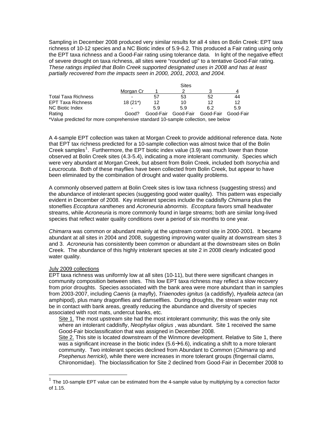<span id="page-8-0"></span>Sampling in December 2008 produced very similar results for all 4 sites on Bolin Creek: EPT taxa richness of 10-12 species and a NC Biotic index of 5.9-6.2. This produced a Fair rating using only the EPT taxa richness and a Good-Fair rating using tolerance data. In light of the negative effect of severe drought on taxa richness, all sites were "rounded up" to a tentative Good-Fair rating. *These ratings implied that Bolin Creek supported designated uses in 2008 and has at least partially recovered from the impacts seen in 2000, 2001, 2003, and 2004.*

|                            |                          |           | <b>Sites</b> |           |           |
|----------------------------|--------------------------|-----------|--------------|-----------|-----------|
|                            | Morgan Cr                |           |              |           | 4         |
| <b>Total Taxa Richness</b> | $\overline{\phantom{0}}$ | 57        | 53           | 52        | 44        |
| <b>EPT Taxa Richness</b>   | $18(21*)$                | 12        | 10           | 12        | 12        |
| NC Biotic Index            |                          | 5.9       | 5.9          | 6.2       | 5.9       |
| Rating                     | Good?                    | Good-Fair | Good-Fair    | Good-Fair | Good-Fair |
|                            |                          |           |              |           |           |

\*Value predicted for more comprehensive standard 10-sample collection, see below

A 4-sample EPT collection was taken at Morgan Creek to provide additional reference data. Note that EPT tax richness predicted for a 10-sample collection was almost twice that of the Bolin Creek samples<sup>[1](#page-8-0)</sup>. Furthermore, the EPT biotic index value (3.9) was much lower than those observed at Bolin Creek sites (4.3-5.4), indicating a more intolerant community. Species which were very abundant at Morgan Creek, but absent from Bolin Creek, included both *Isonychia* and *Leucrocuta*. Both of these mayflies have been collected from Bolin Creek, but appear to have been eliminated by the combination of drought and water quality problems.

A commonly observed pattern at Bolin Creek sites is low taxa richness (suggesting stress) and the abundance of intolerant species (suggesting good water quality). This pattern was especially evident in December of 2008. Key intolerant species include the caddisfly *Chimarra* plus the stoneflies *Eccoptura xanthenes* and *Acroneuria abnormis*. *Eccoptura* favors small headwater streams, while *Acroneuria* is more commonly found in large streams; both are similar long-lived species that reflect water quality conditions over a period of six months to one year.

*Chimarra* was common or abundant mainly at the upstream control site in 2000-2001. It became abundant at all sites in 2004 and 2008, suggesting improving water quality at downstream sites 3 and 3. *Acroneuria* has consistently been common or abundant at the downstream sites on Bolin Creek. The abundance of this highly intolerant species at site 2 in 2008 clearly indicated good water quality.

# July 2009 collections

 $\overline{a}$ 

EPT taxa richness was uniformly low at all sites (10-11), but there were significant changes in community composition between sites. This low EPT taxa richness may reflect a slow recovery from prior droughts. Species associated with the bank area were more abundant than in samples from 2003-2007, including *Caenis* (a mayfly), *Triaenodes ignitus* (a caddisfly), *Hyallela azteca* (an amphipod), plus many dragonflies and damselflies. During droughts, the stream water may not be in contact with bank areas, greatly reducing the abundance and diversity of species associated with root mats, undercut banks, etc.

Site 1. The most upstream site had the most intolerant community; this was the only site where an intolerant caddisfly, *Neophylax oligius* , was abundant. Site 1 received the same Good-Fair bioclassification that was assigned in December 2008.

Site 2. This site is located downstream of the Winmore development. Relative to Site 1, there was a significant increase in the biotic index  $(5.6 \rightarrow 6.6)$ , indicating a shift to a more tolerant community. Two intolerant species declined from Abundant to Common (*Chimarra* sp and *Psephenus herricki*), while there were increases in more tolerant groups (fingernail clams, Chironomidae). The bioclassification for Site 2 declined from Good-Fair in December 2008 to

The 10-sample EPT value can be estimated from the 4-sample value by multiplying by a correction factor of 1.15.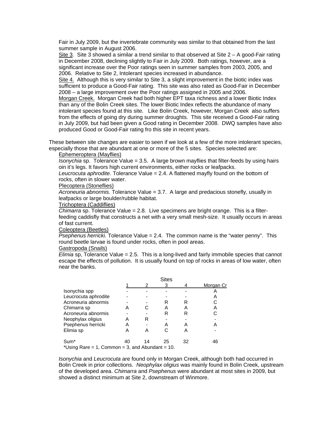Fair in July 2009, but the invertebrate community was similar to that obtained from the last summer sample in August 2006.

Site 3. Site 3 showed a similar a trend similar to that observed at Site  $2 - A$  good-Fair rating in December 2008, declining slightly to Fair in July 2009. Both ratings, however, are a significant increase over the Poor ratings seen in summer samples from 2003, 2005, and 2006. Relative to Site 2, Intolerant species increased in abundance.

Site 4. Although this is very similar to Site 3, a slight improvement in the biotic index was sufficient to produce a Good-Fair rating. This site was also rated as Good-Fair in December 2008 – a large improvement over the Poor ratings assigned in 2005 and 2006.

Morgan Creek. Morgan Creek had both higher EPT taxa richness and a lower Biotic Index than any of the Bolin Creek sites. The lower Biotic Index reflects the abundance of many intolerant species found at this site. Like Bolin Creek, however, Morgan Creek also suffers from the effects of going dry during summer droughts. This site received a Good-Fair rating in July 2009, but had been given a Good rating in December 2008. DWQ samples have also produced Good or Good-Fair rating fro this site in recent years.

These between site changes are easier to seen if we look at a few of the more intolerant species, especially those that are abundant at one or more of the 5 sites. Species selected are:

## Ephemeroptera (Mayflies)

*Isonychia* sp. Tolerance Value = 3.5. A large brown mayflies that filter-feeds by using hairs oin it's legs. It favors high current environments, either rocks or leafpacks.

*Leucrocuta aphrodite.* Tolerance Value = 2.4. A flattened mayfly found on the bottom of rocks, often in slower water.

## Plecoptera (Stoneflies)

*Acroneuria abnormis.* Tolerance Value = 3.7. A large and predacious stonefly, usually in leafpacks or large boulder/rubble habitat.

## Trichoptera (Caddiflies)

*Chimarra* sp. Tolerance Value = 2.8. Live specimens are bright orange. This is a filterfeeding caddisfly that constructs a net with a very small mesh-size. It usually occurs in areas of fast current.

# Coleoptera (Beetles)

*Psephenus herricki.* Tolerance Value = 2.4. The common name is the "water penny". This round beetle larvae is found under rocks, often in pool areas.

# Gastropoda (Snails)

*Elimia* sp, Tolerance Value = 2.5. This is a long-lived and fairly immobile species that cannot escape the effects of pollution. It is usually found on top of rocks in areas of low water, often near the banks.

|                                                 |    |    | <b>Sites</b> |    |           |
|-------------------------------------------------|----|----|--------------|----|-----------|
|                                                 |    |    |              |    | Morgan Cr |
| Isonychia spp                                   |    |    |              |    | A         |
| Leucrocuta aphrodite                            |    |    |              |    | Α         |
| Acroneuria abnormis                             |    |    | R            | R  |           |
| Chimarra sp                                     | А  | C  | А            | Α  | Α         |
| Acroneuria abnormis                             |    |    | R            | R  | C         |
| Neophylax oligius                               | А  | R  |              |    |           |
| Psephenus herricki                              | А  |    | А            | А  | А         |
| Elimia sp                                       | Α  | А  |              |    |           |
| Sum*                                            | 40 | 14 | 25           | 32 | 46        |
| *Using Rare = 1, Common = 3, and Abundant = 10. |    |    |              |    |           |

*Isonychia* and *Leucrocuta* are found only in Morgan Creek, although both had occurred in Bolin Creek in prior collections. *Neophylax oligius* was mainly found in Bolin Creek, upstream of the developed area. *Chimarra* and *Psephenus* were abundant at most sites in 2009, but showed a distinct minimum at Site 2, downstream of Winmore.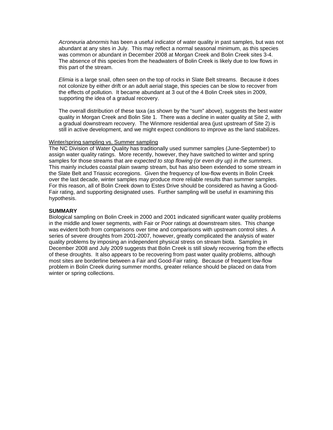*Acroneuria abnormis* has been a useful indicator of water quality in past samples, but was not abundant at any sites in July. This may reflect a normal seasonal minimum, as this species was common or abundant in December 2008 at Morgan Creek and Bolin Creek sites 3-4. The absence of this species from the headwaters of Bolin Creek is likely due to low flows in this part of the stream.

*Elimia* is a large snail, often seen on the top of rocks in Slate Belt streams. Because it does not colonize by either drift or an adult aerial stage, this species can be slow to recover from the effects of pollution. It became abundant at 3 out of the 4 Bolin Creek sites in 2009, supporting the idea of a gradual recovery.

The overall distribution of these taxa (as shown by the "sum" above), suggests the best water quality in Morgan Creek and Bolin Site 1. There was a decline in water quality at Site 2, with a gradual downstream recovery. The Winmore residential area (just upstream of Site 2) is still in active development, and we might expect conditions to improve as the land stabilizes.

## Winter/spring sampling vs. Summer sampling

The NC Division of Water Quality has traditionally used summer samples (June-September) to assign water quality ratings. More recently, however, they have switched to winter and spring samples for those streams that are *expected to stop flowing (or even dry up) in the summers*. This mainly includes coastal plain swamp stream, but has also been extended to some stream in the Slate Belt and Triassic ecoregions. Given the frequency of low-flow events in Bolin Creek over the last decade, winter samples may produce more reliable results than summer samples. For this reason, all of Bolin Creek down to Estes Drive should be considered as having a Good-Fair rating, and supporting designated uses. Further sampling will be useful in examining this hypothesis.

# **SUMMARY**

Biological sampling on Bolin Creek in 2000 and 2001 indicated significant water quality problems in the middle and lower segments, with Fair or Poor ratings at downstream sites. This change was evident both from comparisons over time and comparisons with upstream control sites. A series of severe droughts from 2001-2007, however, greatly complicated the analysis of water quality problems by imposing an independent physical stress on stream biota. Sampling in December 2008 and July 2009 suggests that Bolin Creek is still slowly recovering from the effects of these droughts. It also appears to be recovering from past water quality problems, although most sites are borderline between a Fair and Good-Fair rating. Because of frequent low-flow problem in Bolin Creek during summer months, greater reliance should be placed on data from winter or spring collections.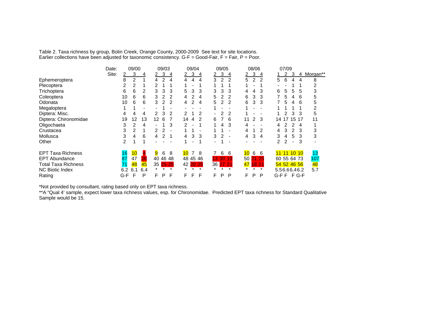Table 2. Taxa richness by group, Bolin Creek, Orange County, 2000-2009 See text for site locations. Earlier collections have been adjusted for taxonomic consistency. G-F = Good-Fair, F = Fair, P = Poor.

|                            | Date: |     | 09/00          |                          |    | 09/03          |               |    | 09/04          |            |    | 09/05          |          |                 | 08/06                |            |               | 07/09         |                          |       |            |
|----------------------------|-------|-----|----------------|--------------------------|----|----------------|---------------|----|----------------|------------|----|----------------|----------|-----------------|----------------------|------------|---------------|---------------|--------------------------|-------|------------|
|                            | Site: |     | 3              | 4                        | 2  | 3              | $\frac{4}{ }$ |    |                | $3\quad 4$ |    | 3              | -4       |                 |                      | $3\quad 4$ |               | 2             | 3                        |       | 4 Morgan** |
| Ephemeroptera              |       | 8   | $\overline{2}$ |                          | 4  | $\overline{c}$ | 4             | 4  | 4              | 4          | 3  | $\overline{2}$ | 2        | 5               | $\overline{2}$       | 2          | 5.            | 6             | 4                        | 4     | 8          |
| Plecoptera                 |       |     | 2              |                          | 2  |                |               |    |                |            |    |                |          |                 | -                    |            |               |               | и                        |       | 2          |
| Trichoptera                |       | 6   | 6              | 2                        | 3  | 3              | 3             | 5  | 3              | 3          | 3  | 3              | 3        | 4               | 4                    | 3          | 6             | 5             | 5                        | 5     | 3          |
| Coleoptera                 |       | 10  | 6              | 6                        | 3  | 2              | 2             | 4  |                | 4          | 5  |                | 2        | 6               | 3                    | 3          |               | 5             | 4                        | 6     | 5          |
| Odonata                    |       | 10  | 6              | 6                        | 3  | 2              | 2             | 4  | 2              | 4          | 5. | 2              | -2       | 6               | 3                    | 3          |               | 5             | 4                        | 6     | 5          |
| Megaloptera                |       |     |                | $\overline{\phantom{a}}$ |    |                |               |    |                |            |    |                |          |                 |                      |            |               |               |                          |       | 2          |
| Diptera: Misc.             |       | 4   | 4              | 4                        | 2  | 3              | 2             | 2  |                | 2          |    | 2              | 2        |                 |                      |            |               | 2             | 3                        | -3    | 5          |
| Diptera: Chironomidae      |       | 19  | 12             | 13                       | 12 | 6              |               | 14 | 4              | 2          | 6  |                | 6        | 11              | $\mathbf{2}^{\circ}$ | -3         | 14            | 17            |                          | 15 17 | 11         |
| Oligochaeta                |       | 3   | 2              | 4                        |    |                | 3             | 2  |                |            |    | 4              | 3        | 4               |                      |            | 4             |               | 2                        | 4     |            |
| Crustacea                  |       | 3   | 2              |                          | 2  | 2              |               |    |                |            |    |                |          | 4               |                      | 2          | 4             | 3             | $\overline{2}$           | 3     | 3          |
| Mollusca                   |       | 3   | 4              | 6                        | 4  | 2              |               | 4  | 3              | 3          | 3  | 2              |          | 4               | 3                    | 4          | 3             | 4             | 5                        | 3     | 3          |
| Other                      |       | 2   |                |                          |    |                |               |    |                | 4          |    |                |          |                 |                      |            | $\mathcal{P}$ | $\mathcal{P}$ | $\overline{\phantom{0}}$ | 3     |            |
| <b>EPT Taxa Richness</b>   |       | 16  | 10             |                          | 9  | 6              | 8             | 10 | $\overline{7}$ | 8          |    | 6              | -6       | 10 <sub>1</sub> |                      | 6 6        | 11            |               | 11 10 10                 |       | 13         |
| <b>EPT Abundance</b>       |       | 87  | 47             | 26                       |    |                | 40 46 48      |    |                | 48 45 46   |    | 13 30          | 19       |                 |                      | 50 21 25   |               | 60 55 64 73   |                          |       | 107        |
| <b>Total Taxa Richness</b> |       | 71  | 48             | 45                       |    |                | 35 25 25      |    |                | 42 20 25   |    |                | 36 27 21 |                 |                      | 47 18 21   |               | 54 52 46 56   |                          |       | 48         |
| NC Biotic Index            |       | 6.2 | 6.1            | 6.4                      |    |                | $\ast$        |    | $\star$        | $\star$    |    | $\star$        | $\star$  | $\star$         | $\star$              | $\star$    |               | 5.56.66.46.2  |                          |       | 5.7        |
| Rating                     |       | G-F | F              | P                        | F  | P              | F             | F  | F              | F          | F  | P              | P        | F               | P                    | P          |               | G-FFFG-F      |                          |       |            |

\*Not provided by consultant, rating based only on EPT taxa richness.

\*\*A "Qual 4' sample, expect lower taxa richness values, esp. for Chironomidae. Predicted EPT taxa richness for Standard Qualitative Sample would be 15.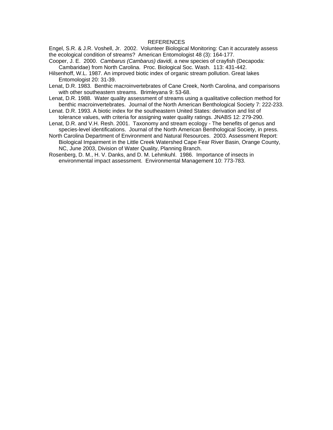# REFERENCES

Engel, S.R. & J.R. Voshell, Jr. 2002. Volunteer Biological Monitoring: Can it accurately assess the ecological condition of streams? American Entomologist 48 (3): 164-177.

Cooper, J. E. 2000. *Cambarus (Cambarus) davidi,* a new species of crayfish (Decapoda: Cambaridae) from North Carolina. Proc. Biological Soc. Wash. 113: 431-442.

- Hilsenhoff, W.L. 1987. An improved biotic index of organic stream pollution. Great lakes Entomologist 20: 31-39.
- Lenat, D.R. 1983. Benthic macroinvertebrates of Cane Creek, North Carolina, and comparisons with other southeastern streams. Brimleyana 9: 53-68.
- Lenat, D.R. 1988. Water quality assessment of streams using a qualitative collection method for benthic macroinvertebrates. Journal of the North American Benthological Society 7: 222-233.
- Lenat. D.R. 1993. A biotic index for the southeastern United States: derivation and list of tolerance values, with criteria for assigning water quality ratings. JNABS 12: 279-290.
- Lenat, D.R. and V.H. Resh. 2001. Taxonomy and stream ecology The benefits of genus and species-level identifications. Journal of the North American Benthological Society, in press.

North Carolina Department of Environment and Natural Resources. 2003. Assessment Report: Biological Impairment in the Little Creek Watershed Cape Fear River Basin, Orange County, NC, June 2003, Division of Water Quality, Planning Branch.

Rosenberg, D. M., H. V. Danks, and D. M. Lehmkuhl. 1986. Importance of insects in environmental impact assessment. Environmental Management 10: 773-783.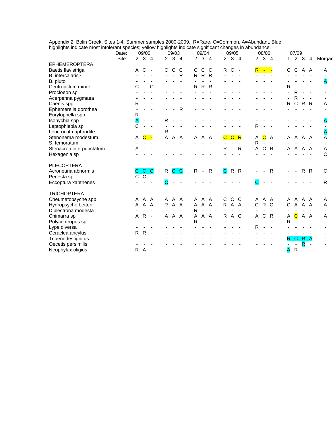|  | Appendix 2. Bolin Creek, Sites 1-4, Summer samples 2000-2009. R=Rare, C=Common, A=Abundant. Blue          |  |
|--|-----------------------------------------------------------------------------------------------------------|--|
|  | highlights indicate most intolerant species; yellow highlights indicate significant changes in abundance. |  |

|                          | Date: |                | 09/00                    |                          |    | 09/03               |              |              | 09/04                    |                |             | 09/05               |                |              | 08/06                    |                |              | 07/09                   |                         |                |              |
|--------------------------|-------|----------------|--------------------------|--------------------------|----|---------------------|--------------|--------------|--------------------------|----------------|-------------|---------------------|----------------|--------------|--------------------------|----------------|--------------|-------------------------|-------------------------|----------------|--------------|
|                          | Site: |                | $2 \quad 3 \quad 4$      |                          |    | $2 \quad 3 \quad 4$ |              |              | $2 \quad 3 \quad 4$      |                |             | $2 \quad 3 \quad 4$ |                |              | $2 \quad 3 \quad 4$      |                | $\mathbf{1}$ | 2 <sub>3</sub>          |                         | $\overline{4}$ | Morgar       |
| <b>EPHEMEROPTERA</b>     |       |                |                          |                          |    |                     |              |              |                          |                |             |                     |                |              |                          |                |              |                         |                         |                |              |
| Baetis flavistriga       |       | A              | $\mathbf C$              | ÷,                       | C  | $\mathbf C$         | $\mathbf C$  | C            | $\mathbf C$              | $\mathbf C$    | R           | $\mathsf{C}$        | $\blacksquare$ | R.           | <b><i><u>A</u></i> 1</b> |                | С            |                         | C A A                   |                | Α            |
| B. intercalaris?         |       |                |                          |                          |    |                     | $\mathsf{R}$ | R.           | $\mathsf{R}$             | $\mathsf{R}$   |             |                     |                |              |                          |                |              |                         |                         |                |              |
| B. pluto                 |       |                |                          |                          |    |                     |              |              |                          |                |             |                     |                |              |                          |                |              |                         |                         |                | A            |
| Centroptilum minor       |       |                | $\overline{\phantom{a}}$ | $\mathsf{C}$             |    |                     |              | R            | R                        | $\mathsf{R}$   |             |                     |                |              |                          |                | R            |                         |                         |                |              |
| Procloeon sp             |       |                |                          |                          |    |                     |              |              |                          |                |             |                     |                |              |                          |                |              | R                       |                         |                |              |
| Acerpenna pygmaea        |       |                |                          |                          |    |                     |              |              |                          |                |             |                     |                |              |                          |                |              | $\mathsf{R}$            |                         |                |              |
| Caenis spp               |       | R              |                          |                          |    |                     |              |              |                          |                |             |                     |                |              |                          |                | R.           |                         | C R R                   |                | Α            |
| Ephemerella dorothea     |       |                |                          |                          |    |                     | $\mathsf{R}$ |              |                          |                |             |                     |                |              |                          |                |              |                         |                         |                |              |
| Eurylophella spp         |       | R              |                          |                          |    |                     |              |              |                          |                |             |                     |                |              |                          |                |              |                         |                         |                |              |
| Isonychia spp            |       | Α              |                          |                          | R. |                     |              |              |                          |                |             |                     |                |              |                          |                |              |                         |                         |                | A            |
| Leptophlebia sp          |       | C              |                          |                          |    |                     |              |              |                          |                |             |                     |                | $\mathsf{R}$ |                          |                |              |                         |                         |                |              |
| Leucrocuta aphrodite     |       |                |                          |                          | R  |                     |              |              |                          |                |             |                     |                |              |                          |                |              |                         |                         |                | A            |
| Stenonema modestum       |       | Α              | C                        |                          | A  | A A                 |              | A            | A A                      |                | $\mathbf C$ | $\mathbf C$         | R              | Α            | $\overline{\textbf{C}}$  | Α              | A            |                         | A A A                   |                | A            |
| S. femoratum             |       |                |                          |                          |    |                     |              |              |                          |                |             |                     |                | $\mathsf{R}$ |                          | $\blacksquare$ |              |                         |                         |                |              |
| Stenacron interpunctatum |       | Α              |                          |                          |    |                     |              |              |                          |                | R           |                     | $\mathsf{R}$   | $\Delta$     | $\overline{C}$           | $\mathsf{R}$   | <u>A</u>     | A                       | <u>A A</u>              |                | A            |
| Hexagenia sp             |       |                |                          |                          |    |                     |              |              |                          |                |             |                     |                |              |                          |                |              |                         |                         |                | $\mathsf{C}$ |
| <b>PLECOPTERA</b>        |       |                |                          |                          |    |                     |              |              |                          |                |             |                     |                |              |                          |                |              |                         |                         |                |              |
| Acroneuria abnormis      |       | С              | $\mathbf{C}$             | $\mathbf C$              | R  | C                   | <sub>c</sub> | R            | $\overline{\phantom{a}}$ | R              | C           | R R                 |                |              |                          | R              |              |                         | R R                     |                | C            |
| Perlesta sp              |       | $\overline{C}$ | $\overline{C}$           | L.                       |    |                     |              |              |                          |                |             |                     |                |              |                          |                |              |                         |                         |                |              |
| Eccoptura xanthenes      |       |                |                          |                          | C  |                     |              |              |                          |                |             |                     |                | C            |                          |                |              |                         |                         |                | R            |
| <b>TRICHOPTERA</b>       |       |                |                          |                          |    |                     |              |              |                          |                |             |                     |                |              |                          |                |              |                         |                         |                |              |
| Cheumatopsyche spp       |       | A              | $\mathsf{A}$             | A                        | A  | A A                 |              | A            | A                        | A              | C           | C                   | $\mathsf{C}$   | A            | A                        | $\overline{A}$ | A            | $\mathsf{A}$            | A A                     |                | Α            |
| Hydropsyche betteni      |       | A              | A A                      |                          |    | R A A               |              | A            | $\overline{\mathsf{A}}$  | $\overline{A}$ | R.          | A A                 |                | C            | $\mathsf{R}$             | $\mathsf{C}$   | C            | A A                     |                         | A              | A            |
| Diplectrona modesta      |       |                |                          |                          |    |                     |              | $\mathsf{R}$ | $\blacksquare$           | $\blacksquare$ |             |                     |                |              |                          |                |              |                         |                         |                |              |
| Chimarra sp              |       | A              | R.                       | $\blacksquare$           | A  | A A                 |              | A            | A                        | A              | R           | $\mathsf{A}$        | $\mathsf{C}$   | A            | C                        | $\mathsf{R}$   | Α            | $\overline{\mathbf{C}}$ | A A                     |                | A            |
| Polycentropus sp         |       |                |                          |                          |    |                     |              | $\mathsf{R}$ |                          |                |             |                     |                |              |                          |                | R            |                         |                         |                |              |
| Lype diversa             |       |                |                          |                          |    |                     |              |              |                          |                |             |                     |                | R            |                          |                |              |                         |                         |                |              |
| Ceraclea ancylus         |       | R              | R                        | ÷,                       |    |                     |              |              |                          |                |             |                     |                |              |                          |                |              |                         |                         |                |              |
| Triaenodes ignitus       |       |                |                          |                          |    |                     |              |              |                          |                |             |                     |                |              |                          |                | R            |                         | C R A                   |                |              |
| Oecetis persimilis       |       |                |                          |                          |    |                     |              |              |                          |                |             |                     |                |              |                          |                |              |                         | $\overline{\mathsf{R}}$ |                |              |
| Neophylax oligius        |       | R              | Α                        | $\overline{\phantom{a}}$ |    |                     |              |              |                          |                |             |                     |                |              |                          |                | A            | ${\sf R}$               |                         |                |              |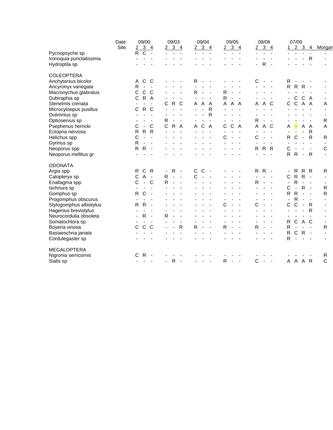|                         | Date: |              | 09/00                    |                          |              | 09/03               |                          |              | 09/04                    |                          |                | 09/05                    |                          |             | 08/06                    |                |                          | 07/09          |                 |                          |                |
|-------------------------|-------|--------------|--------------------------|--------------------------|--------------|---------------------|--------------------------|--------------|--------------------------|--------------------------|----------------|--------------------------|--------------------------|-------------|--------------------------|----------------|--------------------------|----------------|-----------------|--------------------------|----------------|
|                         | Site: |              | $2 \quad 3 \quad 4$      |                          |              | $2 \quad 3 \quad 4$ |                          |              | $2 \quad 3 \quad 4$      |                          |                | $2 \quad 3 \quad 4$      |                          |             | $2 \quad 3 \quad 4$      |                |                          |                | $1 \t2 \t3 \t4$ |                          | Morgar         |
| Pycnopsyche sp          |       | R.           | $\overline{C}$           | $\sim$                   |              |                     |                          |              |                          |                          |                |                          |                          |             |                          |                |                          |                |                 |                          |                |
| Ironoquia punctatissima |       |              |                          |                          |              |                     |                          |              |                          |                          |                |                          |                          |             |                          |                |                          |                | $\blacksquare$  | R                        |                |
| Hydroptila sp           |       |              |                          |                          |              |                     |                          |              |                          |                          |                |                          |                          |             | $\mathsf{R}$             | $\blacksquare$ |                          |                |                 |                          |                |
|                         |       |              |                          |                          |              |                     |                          |              |                          |                          |                |                          |                          |             |                          |                |                          |                |                 |                          |                |
| <b>COLEOPTERA</b>       |       |              |                          |                          |              |                     |                          |              |                          |                          |                |                          |                          |             |                          |                |                          |                |                 |                          |                |
| Anchytarsus bicolor     |       | A            | $\mathsf{C}$             | $\mathsf{C}$             |              |                     |                          | R            | $\blacksquare$           |                          |                |                          |                          | $\mathsf C$ | $\sim$                   | $\sim$         | R                        |                |                 |                          |                |
| Ancyronyx variegata     |       | R            |                          |                          |              |                     |                          |              |                          |                          |                |                          |                          |             |                          |                | $R_{\parallel}$          | ${\sf R}$      | $\mathsf{R}$    | $\sim$                   |                |
| Macronychus glabratus   |       | C            | $\mathsf{C}$             | $\mathsf{C}$             |              |                     |                          | R            | $\blacksquare$           |                          | R              |                          |                          |             |                          |                | $\overline{\phantom{a}}$ |                |                 |                          |                |
| Dubiraphia sp           |       | C            | ${\sf R}$                | $\overline{A}$           |              |                     |                          |              |                          |                          | $\mathsf{R}$   | $\overline{\phantom{a}}$ | $\overline{\phantom{a}}$ |             |                          |                |                          | C              |                 | C A                      |                |
| Stenelmis crenata       |       |              |                          | $\sim$                   | C            | ${\sf R}$           | $\mathsf{C}$             | A            | A A                      |                          | A              |                          | A A                      | Α           | $\mathsf{A}$             | C              | С                        | $\mathsf C$    | A A             |                          | Α              |
| Microcyloepus pusillus  |       | C            | $\mathsf{R}$             | $\mathsf{C}$             |              |                     |                          |              | $\tilde{\phantom{a}}$    | $\mathsf{R}$             |                |                          |                          |             |                          |                |                          |                |                 |                          |                |
| Oulimnius sp            |       |              |                          |                          |              |                     |                          |              |                          | $\mathsf{R}$             |                |                          |                          |             |                          |                |                          |                |                 |                          |                |
| Optioservus sp          |       |              |                          |                          | R            | $\blacksquare$      | $\blacksquare$           |              |                          | $\blacksquare$           |                |                          |                          | R           |                          |                |                          |                |                 |                          | R              |
| Psephenus herricki      |       | С            | $\overline{\phantom{a}}$ | $\mathsf{C}$             | $\mathsf{C}$ | R A                 |                          | A            | $\mathsf{C}$             | A                        | C              | $\mathsf{C}$             | $\overline{A}$           | Α           |                          | A C            | Α                        |                |                 | A A                      | A              |
| Ectopria nervosa        |       | R            | R                        | $\mathsf{R}$             |              |                     |                          |              |                          | ä,                       | $\blacksquare$ |                          | $\blacksquare$           |             |                          |                |                          |                |                 | $\mathsf{R}$             |                |
| Helichus spp            |       | С            |                          | ä,                       |              |                     |                          |              |                          |                          | C              |                          |                          | C           |                          |                | R.                       | $\mathsf{C}$   | $\blacksquare$  | $\mathsf{R}$             | R              |
| Gyrinus sp              |       | R            |                          |                          |              |                     |                          |              |                          |                          |                |                          |                          |             |                          |                |                          |                |                 |                          |                |
| Neoporus spp            |       | R            | R                        | ÷,                       |              |                     |                          |              |                          |                          |                |                          |                          | R.          |                          | R R            | $\mathbf C$              | $\blacksquare$ | $\blacksquare$  | $\overline{\phantom{a}}$ | $\mathsf{C}$   |
| Neoporus mellitus gr    |       |              |                          |                          |              |                     |                          |              |                          |                          |                |                          |                          |             |                          |                | R.                       | R.             | $\blacksquare$  | R                        | ä,             |
|                         |       |              |                          |                          |              |                     |                          |              |                          |                          |                |                          |                          |             |                          |                |                          |                |                 |                          |                |
| <b>ODONATA</b>          |       |              |                          |                          |              |                     |                          |              |                          |                          |                |                          |                          |             |                          |                |                          |                |                 |                          |                |
| Argia spp               |       | R            | $\mathsf{C}$             | $\mathsf{R}$             | $\omega$ .   | $R -$               |                          | C            | $\mathbf C$              |                          |                |                          |                          |             | R R                      |                | $\mathbf{r}$             |                | R R R           |                          | ${\sf R}$      |
| Calopteryx sp           |       | $\mathsf{C}$ | A                        | $\blacksquare$           | R.           | $\blacksquare$      | $\overline{\phantom{a}}$ | $\mathsf{C}$ | $\overline{\phantom{a}}$ |                          |                |                          |                          |             |                          |                | C                        | $\mathsf{R}$   | $\mathsf{R}$    | $\sim$                   |                |
| Enallagma spp           |       | C            | $\blacksquare$           | C                        | R.           | $\blacksquare$      | $\blacksquare$           |              |                          |                          |                |                          |                          | R           | $\blacksquare$           |                | $\blacksquare$           | $\mathsf{R}$   | ä,              | $\overline{\phantom{a}}$ | $\blacksquare$ |
| Ischnura sp             |       |              |                          |                          |              |                     |                          |              |                          |                          |                |                          |                          |             |                          |                | $\mathsf C$              | $\blacksquare$ | $R -$           |                          | R              |
| Gomphus sp              |       | R            | C                        |                          |              |                     |                          |              |                          |                          |                |                          |                          |             |                          |                |                          | R R            | ä,              | $\sim$                   | $\mathsf{R}$   |
| Progomphus obscurus     |       |              |                          |                          |              |                     |                          |              |                          |                          |                |                          |                          |             |                          |                | ä,                       | $\mathsf{R}$   | $\mathbf{r}$    | $\sim$                   |                |
| Stylogomphus albistylus |       | R            | $\mathsf{R}$             | $\sim$                   |              |                     |                          |              |                          |                          | C              |                          |                          | С           | $\overline{\phantom{a}}$ |                | $\mathsf C$              | $\mathsf{C}$   | $\sim$          | $\mathsf{R}$             |                |
| Hagenius brevistylus    |       |              |                          |                          |              |                     |                          |              |                          |                          |                |                          |                          |             |                          |                |                          |                |                 | $\mathsf{R}$             |                |
| Neurocordulia obsoleta  |       |              | R                        | $\sim$                   | R.           |                     |                          |              |                          |                          |                |                          |                          |             |                          |                |                          |                |                 |                          |                |
| Somatochlora sp         |       |              |                          |                          |              |                     |                          |              |                          |                          |                |                          |                          |             |                          |                | R                        | $\mathbf C$    | A C             |                          | $\blacksquare$ |
| Boyeria vinosa          |       | С            | $\mathsf C$              | $\mathsf{C}$             |              |                     | $\mathsf{R}$             | R.           | $\overline{\phantom{a}}$ | $\overline{\phantom{a}}$ | R              | $\blacksquare$           | $\overline{\phantom{a}}$ | R           | $\blacksquare$           | $\blacksquare$ | R                        | $\blacksquare$ | $\blacksquare$  | $\sim$                   | R              |
| Basiaeschna janata      |       |              |                          |                          |              |                     |                          |              |                          |                          |                |                          |                          |             |                          |                | R                        | $\mathsf C$    | $R -$           |                          |                |
| Cordulegaster sp        |       |              |                          |                          |              |                     |                          |              |                          |                          |                |                          |                          |             |                          |                | R                        |                |                 |                          |                |
|                         |       |              |                          |                          |              |                     |                          |              |                          |                          |                |                          |                          |             |                          |                |                          |                |                 |                          |                |
| <b>MEGALOPTERA</b>      |       |              |                          |                          |              |                     |                          |              |                          |                          |                |                          |                          |             |                          |                |                          |                |                 |                          |                |
| Nigronia serricornis    |       | $\mathsf C$  | $\mathsf{R}$             | $\overline{\phantom{a}}$ |              |                     |                          |              |                          |                          |                |                          |                          |             |                          |                |                          |                |                 |                          | R              |
| Sialis sp               |       |              |                          |                          | ÷,           | $\mathsf{R}$        | $\sim$                   |              | $\blacksquare$           | $\blacksquare$           | $\mathsf{R}$   | $\blacksquare$           | $\overline{\phantom{a}}$ | C           | $\mathbf{r}$             | $\sim$         |                          |                | A A A R         |                          | $\mathsf{C}$   |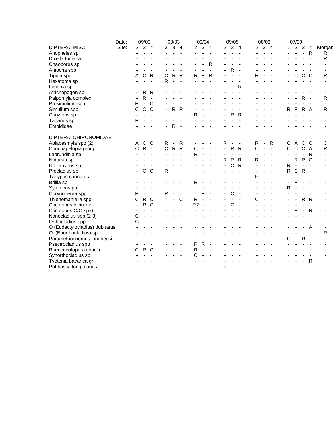|                                | Date: |   | 09/00                    |                          |              | 09/03               |              |              | 09/04                    |              |    | 09/05               |              |              | 08/06               |              |    | 07/09          |                |                                                        |                         |
|--------------------------------|-------|---|--------------------------|--------------------------|--------------|---------------------|--------------|--------------|--------------------------|--------------|----|---------------------|--------------|--------------|---------------------|--------------|----|----------------|----------------|--------------------------------------------------------|-------------------------|
| <b>DIPTERA: MISC</b>           | Site: |   | $2 \quad 3 \quad 4$      |                          |              | $2 \quad 3 \quad 4$ |              | $2^{\circ}$  |                          | $3 \quad 4$  |    | $2 \quad 3 \quad 4$ |              |              | $2 \quad 3 \quad 4$ |              |    |                |                | $\begin{array}{ccccccccc}\n1 & 2 & 3 & 4\n\end{array}$ | Morgar                  |
| Anopheles sp                   |       |   |                          |                          |              |                     |              |              |                          |              |    |                     |              |              |                     |              |    |                | $\blacksquare$ | ${\sf R}$                                              | $\overline{\mathsf{R}}$ |
| Dixella Indiana-               |       |   |                          |                          |              |                     |              |              |                          |              |    |                     |              |              |                     |              |    |                |                |                                                        | $\mathsf{R}$            |
| Chaoborus sp                   |       |   |                          |                          |              |                     |              |              |                          | R            |    |                     |              |              |                     |              |    |                |                |                                                        |                         |
| Antocha spp                    |       |   |                          |                          |              |                     |              |              |                          |              |    | R                   |              |              |                     |              |    |                |                |                                                        |                         |
| Tipula spp                     |       | Α | C                        | $\mathsf{R}$             | C            |                     | R R          | R            | R                        | $\mathsf{R}$ |    |                     |              | R            |                     |              |    | C              | $\mathsf C$    | C                                                      | R                       |
| Hexatoma sp                    |       |   |                          |                          | $\mathsf{R}$ |                     |              |              |                          |              |    |                     |              |              |                     |              |    |                |                |                                                        |                         |
| Limonia sp                     |       |   |                          |                          |              |                     |              |              |                          |              |    |                     | $\mathsf{R}$ |              |                     |              |    |                |                |                                                        |                         |
| Atrichopogon sp                |       |   | R                        | $\mathsf{R}$             |              |                     |              |              |                          |              |    |                     |              |              |                     |              |    |                |                |                                                        |                         |
| Palpomyia complex              |       |   | R                        | $\overline{\phantom{a}}$ |              |                     |              |              |                          |              |    |                     |              |              |                     |              |    |                | R              |                                                        | R                       |
| Prosimulium spp                |       | R | $\overline{\phantom{a}}$ | $\mathsf{C}$             |              |                     |              |              |                          |              |    |                     |              |              |                     |              |    |                |                |                                                        |                         |
| Simulium spp                   |       | C | C                        | $\mathsf{C}$             |              | R                   | $\mathsf{R}$ |              |                          |              |    |                     |              |              |                     |              | R. | R.             |                | R A                                                    | R                       |
| Chrysops sp                    |       |   |                          |                          |              |                     |              | R            |                          |              |    | R                   | R            |              |                     |              |    |                |                |                                                        |                         |
| Tabanus sp                     |       | R |                          |                          |              |                     |              |              |                          |              |    |                     |              |              |                     |              |    |                |                |                                                        |                         |
| Empididae                      |       |   |                          |                          |              | $\mathsf{R}$        |              |              |                          |              |    |                     |              |              |                     |              |    |                |                |                                                        |                         |
| DIPTERA: CHIRONOMIDAE          |       |   |                          |                          |              |                     |              |              |                          |              |    |                     |              |              |                     |              |    |                |                |                                                        |                         |
| Ablabesmyia spp (2)            |       | A | C                        | C                        | R.           | $\blacksquare$      | R            |              |                          |              | R  |                     |              | R            | $\blacksquare$      | $\mathsf{R}$ |    | C A C          |                | - C                                                    | C                       |
| Conchapelopia group            |       | C | ${\sf R}$                | $\overline{\phantom{a}}$ | C            | $\mathsf{R}$        | $\mathsf{R}$ | С            | $\blacksquare$           |              | ÷, | $\mathsf{R}$        | $\mathsf{R}$ | C            | ÷,                  |              | C  | $\mathbf C$    | $\mathsf{C}$   | $\overline{A}$                                         | R                       |
| Labrundinia sp                 |       |   |                          |                          |              |                     |              | $\mathsf{R}$ | ÷,                       |              |    |                     |              |              |                     |              |    | $\overline{a}$ | L.             | R                                                      | ÷.                      |
| Natarsia sp                    |       |   |                          |                          |              |                     |              |              |                          |              | R  | $\mathsf{R}$        | $\mathsf{R}$ | $\mathsf{R}$ |                     |              |    | $\mathsf{R}$   | $\mathsf{R}$   | $\mathsf{C}$                                           |                         |
| Nilotanypus sp                 |       |   |                          |                          |              |                     |              |              |                          |              |    | $\mathsf{C}$        | $\mathsf{R}$ |              |                     |              | R  |                |                |                                                        |                         |
| Procladius sp                  |       |   | С                        | $\mathsf{C}$             | R.           |                     |              |              |                          |              |    |                     |              |              |                     |              | R  | $\mathsf{C}$   | $\mathsf{R}$   | $\sim$                                                 |                         |
| Tanypus carinatus              |       |   |                          |                          |              |                     |              |              |                          |              |    |                     |              | R            |                     |              |    |                |                |                                                        |                         |
| Brillia sp                     |       |   |                          |                          |              |                     |              | $\mathsf{R}$ |                          |              |    |                     |              |              |                     |              |    | $\mathsf{R}$   |                |                                                        |                         |
| Xylotopus par                  |       |   |                          |                          |              |                     |              |              |                          |              |    |                     |              |              |                     |              | R  | $\blacksquare$ |                |                                                        |                         |
| Corynoneura spp                |       | R |                          |                          | R.           |                     |              |              | $\mathsf{R}$             |              |    | C                   |              |              |                     |              |    |                |                |                                                        |                         |
| Thienemaniella spp             |       | C | ${\sf R}$                | $\mathsf{C}$             |              |                     | $\mathsf{C}$ | $\mathsf{R}$ |                          |              |    |                     |              | C            |                     |              |    |                | R              | $\mathsf{R}$                                           |                         |
| Cricotopus bicinctus           |       |   | $\mathsf{R}$             | $\mathsf{C}$             |              |                     |              | R?           | $\overline{\phantom{a}}$ |              |    | C                   |              |              |                     |              |    |                |                |                                                        |                         |
| Cricotopus C/O sp 6            |       |   |                          |                          |              |                     |              |              |                          |              |    |                     |              |              |                     |              |    | R.             | $\blacksquare$ | R                                                      |                         |
| Nanocladius spp (2-3)          |       | С |                          |                          |              |                     |              |              |                          |              |    |                     |              |              |                     |              |    |                |                |                                                        |                         |
| Orthocladius spp               |       | C |                          |                          |              |                     |              |              |                          |              |    |                     |              |              |                     |              |    |                |                |                                                        |                         |
| O (Eudactylocladius) dubitatus |       |   |                          |                          |              |                     |              |              |                          |              |    |                     |              |              |                     |              |    |                |                | A                                                      |                         |
| O. (Euorthocladius) sp         |       |   |                          |                          |              |                     |              |              |                          |              |    |                     |              |              |                     |              |    |                |                |                                                        | R                       |
| Parametriocnemus lundbecki     |       |   |                          |                          |              |                     |              |              |                          |              |    |                     |              |              |                     |              | С  | $\blacksquare$ | $\mathsf{R}$   | $\sim$                                                 |                         |
| Psectrocladius spp             |       |   |                          |                          |              |                     |              | R            | $\mathsf{R}$             | $\sim$       |    |                     |              |              |                     |              |    |                |                |                                                        |                         |
| Rheocricotopus robacki         |       | С | $\mathsf{R}$             | $\mathsf{C}$             |              |                     |              | $\mathsf{R}$ |                          |              |    |                     |              |              |                     |              |    |                |                |                                                        |                         |
| Synorthocladius sp             |       |   |                          |                          |              |                     |              | C            |                          |              |    |                     |              |              |                     |              |    |                |                |                                                        |                         |
| Tvetenia bavarica gr           |       |   |                          |                          |              |                     |              |              |                          |              |    |                     |              |              |                     |              |    |                |                | $\mathsf{R}$                                           |                         |
| Potthastia longimanus          |       |   |                          |                          |              |                     |              |              |                          |              | R  |                     |              |              |                     |              |    |                |                |                                                        |                         |
|                                |       |   |                          |                          |              |                     |              |              |                          |              |    |                     |              |              |                     |              |    |                |                |                                                        |                         |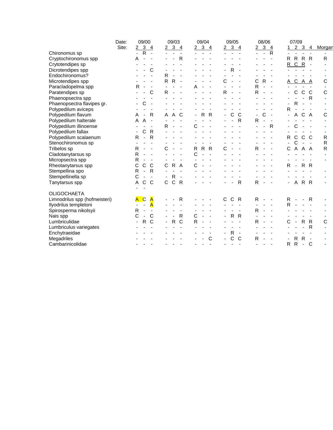|                               | Date: |                | 09/00               |                          |                | 09/03               |                          |              | 09/04               |              |   | 09/05               |                          |              | 08/06               |                          |                          | 07/09                    |                |              |              |
|-------------------------------|-------|----------------|---------------------|--------------------------|----------------|---------------------|--------------------------|--------------|---------------------|--------------|---|---------------------|--------------------------|--------------|---------------------|--------------------------|--------------------------|--------------------------|----------------|--------------|--------------|
|                               | Site: |                | $2 \quad 3 \quad 4$ |                          |                | $2 \quad 3 \quad 4$ |                          |              | $2 \quad 3 \quad 4$ |              |   | $2 \quad 3 \quad 4$ |                          |              | $2 \quad 3 \quad 4$ |                          |                          | $1 \t2 \t3 \t4$          |                |              | Morgar       |
| Chironomus sp                 |       |                | $\overline{R}$      | $\overline{\phantom{a}}$ |                | $\blacksquare$      | $\overline{\phantom{a}}$ |              |                     |              |   |                     |                          |              | $\blacksquare$      | $\mathsf{R}$             |                          |                          |                |              |              |
| Cryptochironomus spp          |       | А              |                     |                          |                |                     | R                        |              |                     |              |   |                     |                          |              |                     |                          | R.                       |                          | R R R          |              | R            |
| Crytotendipes sp              |       |                |                     |                          |                |                     |                          |              |                     |              |   |                     |                          |              |                     |                          | $\overline{\mathsf{R}}$  | $\mathbf C$              | R              |              |              |
| Dicrotendipes spp             |       |                |                     | C                        |                |                     |                          |              |                     |              |   | R                   |                          |              |                     |                          |                          |                          |                |              |              |
| Endochironomus?               |       |                |                     |                          | R              |                     |                          |              |                     |              |   |                     |                          |              |                     |                          |                          |                          |                |              |              |
| Microtendipes spp             |       |                |                     |                          | R.             | R                   | $\overline{\phantom{a}}$ |              |                     |              | C |                     |                          | С            | $\mathsf{R}$        | $\overline{\phantom{a}}$ | A                        |                          | $C$ $A$ $A$    |              | C            |
| Paracladopelma spp            |       | R              |                     |                          |                |                     |                          | А            |                     |              |   |                     |                          | $\mathsf{R}$ |                     |                          |                          |                          |                |              |              |
| Paratendipes sp               |       |                |                     | C                        | R              |                     |                          |              |                     |              | R |                     |                          | R            |                     |                          | $\overline{\phantom{0}}$ | $\mathsf{C}$             | $\mathsf C$    | C            | C            |
| Phaenopsectra spp             |       |                |                     |                          |                |                     |                          |              |                     |              |   |                     |                          |              |                     |                          |                          |                          |                | R            |              |
| Phaenopsectra flavipes gr.    |       |                |                     |                          |                |                     |                          |              |                     |              |   |                     |                          |              |                     |                          |                          | R.                       |                |              |              |
| Polypedilum aviceps           |       |                |                     |                          |                |                     |                          |              |                     |              |   |                     |                          |              |                     |                          | R                        |                          |                |              |              |
| Polypedilum flavum            |       |                |                     | R                        | A              | $\mathsf{A}$        | $\mathsf{C}$             |              | R                   | $\mathsf{R}$ |   | C                   | $\mathsf{C}$             |              | C                   |                          |                          | A                        | C              | A            | C            |
| Polypedilum halterale         |       | A              | A                   |                          |                |                     |                          |              |                     |              |   |                     | $\mathsf{R}$             | R            |                     |                          |                          |                          |                |              |              |
| Polypedilum illinoense        |       |                |                     |                          | R.             |                     |                          | С            |                     |              |   |                     |                          |              |                     | $\mathsf{R}$             |                          | С                        |                |              |              |
| Polypedilum fallax            |       |                | С                   | $\mathsf{R}$             |                |                     |                          |              |                     |              |   |                     |                          |              |                     |                          |                          |                          |                |              |              |
| Polypedilum scalaenum         |       | R              |                     | $\mathsf{R}$             |                |                     |                          |              |                     |              |   |                     |                          |              |                     |                          | R.                       | С                        | C              | C            | ${\sf R}$    |
| Stenochironomus sp            |       |                |                     |                          |                |                     |                          |              |                     |              |   |                     |                          |              |                     |                          |                          | С                        | $\sim$         | $\sim$       | $\mathsf{R}$ |
| Tribelos sp                   |       | R              |                     |                          | С              |                     |                          | R            | $\mathsf{R}$        | $\mathsf{R}$ | С |                     |                          | R            |                     |                          | С                        | A                        | A A            |              | R            |
| Cladotanytarsus sp            |       | R              |                     |                          |                |                     |                          | C            |                     |              |   |                     |                          |              |                     |                          |                          |                          |                |              |              |
| Micropsectra spp              |       | R              |                     |                          |                |                     |                          |              |                     |              |   |                     |                          |              |                     |                          |                          |                          |                |              |              |
| Rheotanytarsus spp            |       | C              | С                   | $\mathsf{C}$             | $\mathsf{C}$   | R A                 |                          | С            |                     |              |   |                     |                          |              |                     |                          | R                        | $\overline{\phantom{a}}$ | R R            |              |              |
| Stempellina spo               |       | R              |                     | $\overline{R}$           |                |                     |                          |              |                     |              |   |                     |                          |              |                     |                          |                          |                          |                |              |              |
| Stempellinella sp             |       | С              |                     | $\blacksquare$           |                | R                   | $\overline{\phantom{a}}$ |              |                     |              |   |                     |                          |              |                     |                          |                          |                          |                |              |              |
| Tanytarsus spp                |       | Α              | C                   | $\mathsf{C}$             | C              | $\mathsf{C}$        | $\mathsf{R}$             |              |                     |              |   |                     | $\mathsf{R}$             | R            | $\blacksquare$      |                          | $\blacksquare$           |                          | A R R          |              |              |
|                               |       |                |                     |                          |                |                     |                          |              |                     |              |   |                     |                          |              |                     |                          |                          |                          |                |              |              |
| <b>OLIGOCHAETA</b>            |       |                |                     |                          |                |                     |                          |              |                     |              |   |                     |                          |              |                     |                          |                          |                          |                |              |              |
| Limnodrilus spp (hofmeisteri) |       | A              | $\mathsf{C}$        | A                        |                |                     | R                        |              |                     |              | C | C                   | R                        | R            |                     |                          | R.                       |                          |                | R            |              |
| Ilyodrilus templetoni         |       |                |                     | Ā                        |                |                     |                          |              |                     |              |   |                     |                          |              |                     |                          | R                        |                          |                |              |              |
| Spirosperma nikolsyii         |       | R              |                     |                          |                |                     |                          |              |                     |              |   |                     |                          | R.           | $\blacksquare$      | $\sim$                   |                          |                          |                |              |              |
| Nais spp                      |       | C              | ÷,                  | $\mathsf{C}$             |                |                     | ${\sf R}$                | С            |                     |              |   | R                   | $\mathsf{R}$             |              |                     |                          |                          |                          |                |              |              |
| Lumbriculidae                 |       | $\blacksquare$ | R                   | $\mathsf{C}$             | $\blacksquare$ | ${\sf R}$           | $\mathsf{C}$             | $\mathsf{R}$ |                     |              |   |                     |                          | R            | $\blacksquare$      | $\overline{\phantom{a}}$ | C                        | $\blacksquare$           | R              | $\mathsf{R}$ | C            |
| Lumbriculus variegates        |       |                |                     |                          |                |                     |                          |              |                     |              |   |                     |                          |              |                     |                          |                          |                          |                | R            |              |
| Enchytraeidae                 |       |                |                     |                          |                |                     |                          |              |                     |              |   | R                   | $\overline{\phantom{a}}$ |              |                     |                          |                          |                          |                |              |              |
| Megadriles                    |       |                |                     |                          |                |                     |                          |              |                     | $\mathsf{C}$ |   | $\mathsf{C}$        | $\mathsf{C}$             | R            |                     |                          |                          | R                        | R              | $\sim$       |              |
| Cambarinicolidae              |       |                |                     |                          |                |                     |                          |              |                     |              |   |                     |                          |              |                     |                          | R.                       | $\mathsf{R}$             | $\blacksquare$ | $\mathsf{C}$ |              |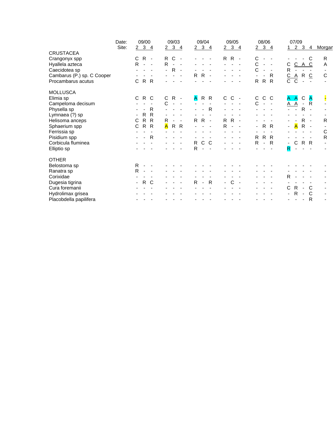|                            | Date: |                          | 09/00                    |              |                         | 09/03                    |        | 09/04 |                          |                          | 09/05          |                     |  | 08/06                    |                          |              | 07/09                    |                         |                          |                |              |
|----------------------------|-------|--------------------------|--------------------------|--------------|-------------------------|--------------------------|--------|-------|--------------------------|--------------------------|----------------|---------------------|--|--------------------------|--------------------------|--------------|--------------------------|-------------------------|--------------------------|----------------|--------------|
|                            | Site: |                          | 234                      |              |                         | $2 \quad 3 \quad 4$      |        |       | $2 \quad 3 \quad 4$      |                          |                | $2 \quad 3 \quad 4$ |  |                          | 2, 3, 4                  |              |                          |                         | $2 \quad 3$              | 4              | Morgar       |
| <b>CRUSTACEA</b>           |       |                          |                          |              |                         |                          |        |       |                          |                          |                |                     |  |                          |                          |              |                          |                         |                          |                |              |
| Crangonyx spp              |       | C                        | R                        | $\sim$       | R.                      | C                        | $\sim$ |       |                          |                          | R.             | R                   |  | C                        |                          |              |                          |                         |                          | C              | R            |
| Hyallela azteca            |       | R.                       | $\overline{\phantom{a}}$ | $\sim$       | R.                      |                          |        |       |                          |                          |                |                     |  | С                        |                          |              | С                        |                         | $C$ A $C$                |                | A            |
| Caecidotea sp              |       |                          |                          |              | $\sim$                  | R                        | $\sim$ |       |                          |                          |                |                     |  | $\mathsf C$              |                          |              | R                        |                         |                          |                |              |
| Cambarus (P.) sp. C Cooper |       |                          |                          |              |                         |                          |        | R     | $\mathsf{R}$             | $\overline{\phantom{a}}$ |                |                     |  |                          |                          | $\mathsf{R}$ |                          |                         | C A R                    | $\overline{C}$ | C            |
| Procambarus acutus         |       | C                        |                          | R R          |                         |                          |        |       |                          |                          |                |                     |  | R.                       | R R                      |              | $\overline{\text{c}}$    | C                       |                          |                |              |
| <b>MOLLUSCA</b>            |       |                          |                          |              |                         |                          |        |       |                          |                          |                |                     |  |                          |                          |              |                          |                         |                          |                |              |
| Elimia sp                  |       | C                        | R                        | C            | C                       | R                        |        | Α     |                          | R R                      | С              | C                   |  | C                        |                          | C C          |                          | A                       | C                        | A              |              |
| Campeloma decisum          |       |                          |                          |              | C                       | $\overline{\phantom{a}}$ |        |       |                          |                          |                |                     |  | C                        | $\overline{\phantom{a}}$ | $\sim$       | A                        | $\mathsf{A}$            | $\overline{\phantom{a}}$ | R              |              |
| Physella sp                |       |                          |                          | R            |                         |                          |        |       |                          | R                        |                |                     |  |                          |                          |              |                          |                         | $\mathsf{R}$             |                |              |
| Lymnaea (?) sp             |       | $\overline{\phantom{a}}$ | R.                       | $\mathsf{R}$ |                         |                          |        |       |                          |                          |                |                     |  |                          |                          |              |                          |                         |                          |                |              |
| Helisoma anceps            |       | C                        | R                        | R            | R                       |                          |        | R.    | R                        | $\blacksquare$           | R.             | R.                  |  |                          |                          |              |                          |                         |                          | $R -$          | R            |
| Sphaerium spp              |       | C                        | $\mathsf{R}$             | $\mathsf{R}$ | $\overline{\mathsf{A}}$ | R R                      |        |       |                          |                          | ${\sf R}$      |                     |  | $\overline{\phantom{a}}$ | R                        | R            | $\overline{\phantom{0}}$ | $\overline{\mathsf{A}}$ | R                        | $\sim$         |              |
| Ferrissia sp               |       |                          |                          |              |                         |                          |        |       |                          |                          |                |                     |  |                          |                          |              |                          |                         |                          |                | C            |
| Pisidium spp               |       |                          |                          | $\mathsf{R}$ |                         |                          |        |       |                          |                          |                |                     |  | R                        | R.                       | R            |                          |                         |                          |                | $\mathsf{R}$ |
| Corbicula fluminea         |       |                          |                          |              |                         |                          |        | R.    | C C                      |                          |                |                     |  | R                        | $\overline{\phantom{a}}$ | $\mathsf{R}$ | $\blacksquare$           | C                       |                          | R R            |              |
| Elliptio sp                |       |                          |                          |              |                         |                          |        | R     |                          |                          |                |                     |  |                          |                          |              | $\overline{\mathsf{R}}$  |                         |                          |                |              |
| <b>OTHER</b>               |       |                          |                          |              |                         |                          |        |       |                          |                          |                |                     |  |                          |                          |              |                          |                         |                          |                |              |
| Belostoma sp               |       | R                        |                          |              |                         |                          |        |       |                          |                          |                |                     |  |                          |                          |              |                          |                         |                          |                |              |
| Ranatra sp                 |       | R                        |                          |              |                         |                          |        |       |                          |                          |                |                     |  |                          |                          |              |                          |                         |                          |                |              |
| Corixidae                  |       |                          |                          |              |                         |                          |        |       |                          |                          |                |                     |  |                          |                          |              | R.                       |                         |                          |                |              |
| Dugesia tigrina            |       | $\sim$                   | R                        | $\mathsf{C}$ |                         |                          |        | R     | $\overline{\phantom{a}}$ | $\mathsf{R}$             | $\blacksquare$ | C                   |  |                          |                          |              |                          |                         |                          |                |              |
| Cura foremanii             |       |                          |                          |              |                         |                          |        |       |                          |                          |                |                     |  |                          |                          |              | C                        | R                       | $\blacksquare$           | C              |              |
| Hydrolimax grisea          |       |                          |                          |              |                         |                          |        |       |                          |                          |                |                     |  |                          |                          |              | $\blacksquare$           | R.                      | $\overline{\phantom{a}}$ | C              |              |
| Placobdella papilifera     |       |                          |                          |              |                         |                          |        |       |                          |                          |                |                     |  |                          |                          |              |                          |                         |                          | $\mathsf{R}$   |              |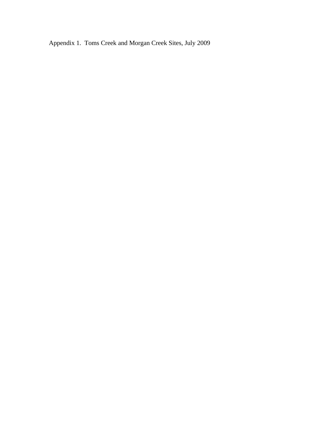Appendix 1. Toms Creek and Morgan Creek Sites, July 2009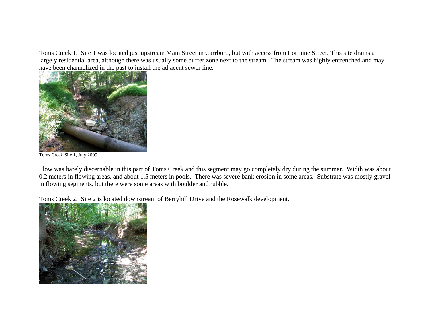Toms Creek 1. Site 1 was located just upstream Main Street in Carrboro, but with access from Lorraine Street. This site drains a largely residential area, although there was usually some buffer zone next to the stream. The stream was highly entrenched and may have been channelized in the past to install the adjacent sewer line.



Toms Creek Site 1, July 2009.

Flow was barely discernable in this part of Toms Creek and this segment may go completely dry during the summer. Width was about 0.2 meters in flowing areas, and about 1.5 meters in pools. There was severe bank erosion in some areas. Substrate was mostly gravel in flowing segments, but there were some areas with boulder and rubble.

Toms Creek 2. Site 2 is located downstream of Berryhill Drive and the Rosewalk development.

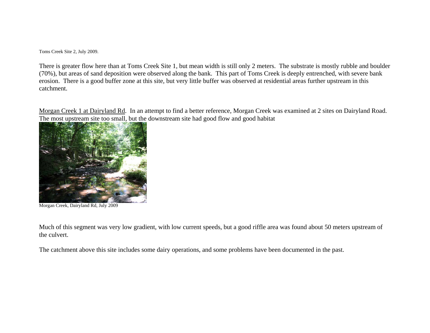Toms Creek Site 2, July 2009.

There is greater flow here than at Toms Creek Site 1, but mean width is still only 2 meters. The substrate is mostly rubble and boulder (70%), but areas of sand deposition were observed along the bank. This part of Toms Creek is deeply entrenched, with severe bank erosion. There is a good buffer zone at this site, but very little buffer was observed at residential areas further upstream in this catchment.

Morgan Creek 1 at Dairyland Rd. In an attempt to find a better reference, Morgan Creek was examined at 2 sites on Dairyland Road. The most upstream site too small, but the downstream site had good flow and good habitat



Morgan Creek, Dairyland Rd, July 2009

Much of this segment was very low gradient, with low current speeds, but a good riffle area was found about 50 meters upstream of the culvert.

The catchment above this site includes some dairy operations, and some problems have been documented in the past.